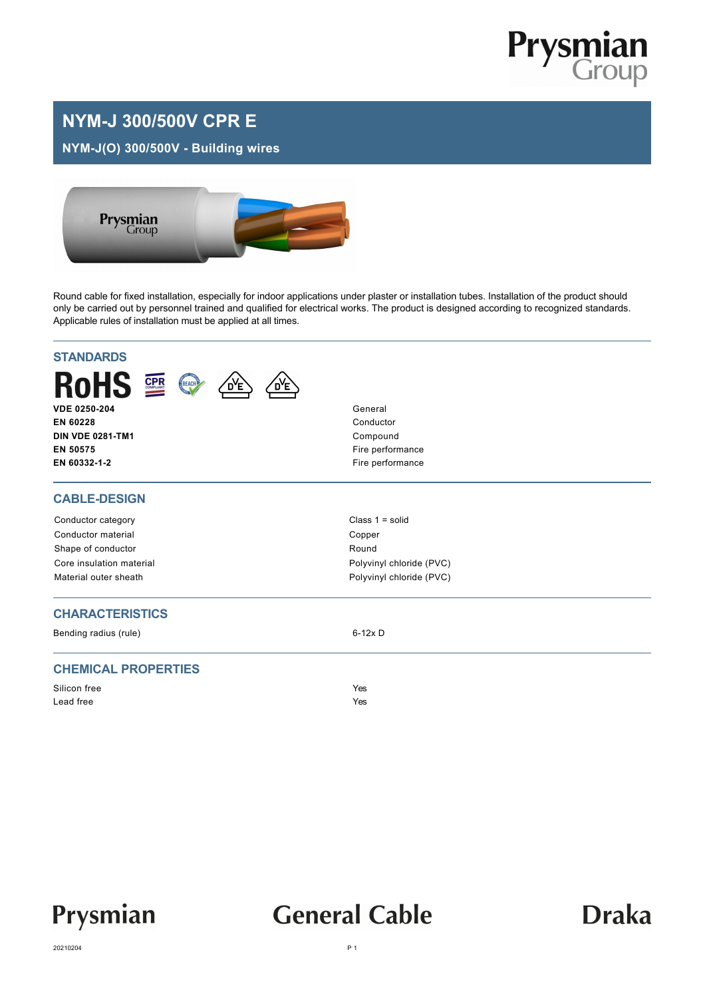

### **NYM-J 300/500V CPR E**

**NYM-J(O) 300/500V - Building wires**



Round cable for fixed installation, especially for indoor applications under plaster or installation tubes. Installation of the product should only be carried out by personnel trained and qualified for electrical works. The product is designed according to recognized standards. Applicable rules of installation must be applied at all times.

| <b>STANDARDS</b>                         |                                      |  |  |  |  |  |  |  |
|------------------------------------------|--------------------------------------|--|--|--|--|--|--|--|
| <b>RoHS <sub>雪</sub></b><br>REACH<br>'nЕ |                                      |  |  |  |  |  |  |  |
| <b>VDE 0250-204</b>                      | General                              |  |  |  |  |  |  |  |
| EN 60228                                 | Conductor                            |  |  |  |  |  |  |  |
| <b>DIN VDE 0281-TM1</b>                  | Compound                             |  |  |  |  |  |  |  |
| EN 50575<br>EN 60332-1-2                 | Fire performance<br>Fire performance |  |  |  |  |  |  |  |
|                                          |                                      |  |  |  |  |  |  |  |
| <b>CABLE-DESIGN</b>                      |                                      |  |  |  |  |  |  |  |
| Conductor category                       | Class $1 = solid$                    |  |  |  |  |  |  |  |
| Conductor material                       | Copper                               |  |  |  |  |  |  |  |
| Shape of conductor                       | Round                                |  |  |  |  |  |  |  |
| Core insulation material                 | Polyvinyl chloride (PVC)             |  |  |  |  |  |  |  |
| Material outer sheath                    | Polyvinyl chloride (PVC)             |  |  |  |  |  |  |  |
| <b>CHARACTERISTICS</b>                   |                                      |  |  |  |  |  |  |  |
| Bending radius (rule)                    | $6-12x$ D                            |  |  |  |  |  |  |  |
| <b>CHEMICAL PROPERTIES</b>               |                                      |  |  |  |  |  |  |  |
| Silicon free                             | Yes                                  |  |  |  |  |  |  |  |
| Lead free                                | Yes                                  |  |  |  |  |  |  |  |
|                                          |                                      |  |  |  |  |  |  |  |



## **General Cable**